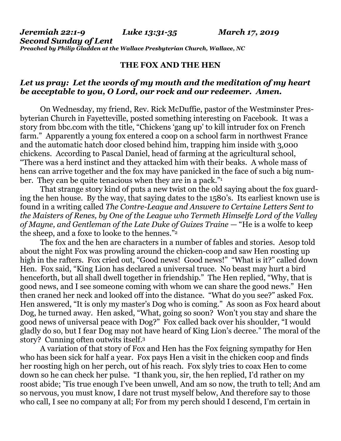## **THE FOX AND THE HEN**

## *Let us pray: Let the words of my mouth and the meditation of my heart be acceptable to you, O Lord, our rock and our redeemer. Amen.*

On Wednesday, my friend, Rev. Rick McDuffie, pastor of the Westminster Presbyterian Church in Fayetteville, posted something interesting on Facebook. It was a story from [bbc.com](http://bbc.com/) with the title, "Chickens 'gang up' to kill intruder fox on French farm." Apparently a young fox entered a coop on a school farm in northwest France and the automatic hatch door closed behind him, trapping him inside with 3,000 chickens. According to Pascal Daniel, head of farming at the agricultural school, "There was a herd instinct and they attacked him with their beaks. A whole mass of hens can arrive together and the fox may have panicked in the face of such a big number. They can be quite tenacious when they are in a pack."<sup>1</sup>

That strange story kind of puts a new twist on the old saying about the fox guarding the hen house. By the way, that saying dates to the 1580's. Its earliest known use is found in a writing called *The Contre-League and Answere to Certaine Letters Sent to the Maisters of Renes, by One of the League who Termeth Himselfe Lord of the Valley of Mayne, and Gentleman of the Late Duke of Guizes Traine* — "He is a wolfe to keep the sheep, and a foxe to looke to the hennes."<sup>2</sup>

The fox and the hen are characters in a number of fables and stories. Aesop told about the night Fox was prowling around the chicken-coop and saw Hen roosting up high in the rafters. Fox cried out, "Good news! Good news!" "What is it?" called down Hen. Fox said, "King Lion has declared a universal truce. No beast may hurt a bird henceforth, but all shall dwell together in friendship." The Hen replied, "Why, that is good news, and I see someone coming with whom we can share the good news." Hen then craned her neck and looked off into the distance. "What do you see?" asked Fox. Hen answered, "It is only my master's Dog who is coming." As soon as Fox heard about Dog, he turned away. Hen asked, "What, going so soon? Won't you stay and share the good news of universal peace with Dog?" Fox called back over his shoulder, "I would gladly do so, but I fear Dog may not have heard of King Lion's decree." The moral of the story? Cunning often outwits itself.<sup>3</sup>

A variation of that story of Fox and Hen has the Fox feigning sympathy for Hen who has been sick for half a year. Fox pays Hen a visit in the chicken coop and finds her roosting high on her perch, out of his reach. Fox slyly tries to coax Hen to come down so he can check her pulse. "I thank you, sir, the hen replied, I'd rather on my roost abide; 'Tis true enough I've been unwell, And am so now, the truth to tell; And am so nervous, you must know, I dare not trust myself below, And therefore say to those who call, I see no company at all; For from my perch should I descend, I'm certain in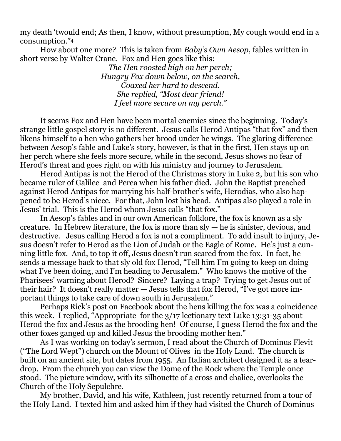my death 'twould end; As then, I know, without presumption, My cough would end in a consumption."<sup>4</sup>

How about one more? This is taken from *Baby's Own Aesop*, fables written in short verse by Walter Crane. Fox and Hen goes like this:

> *The Hen roosted high on her perch; Hungry Fox down below, on the search, Coaxed her hard to descend. She replied, "Most dear friend! I feel more secure on my perch."*

It seems Fox and Hen have been mortal enemies since the beginning. Today's strange little gospel story is no different. Jesus calls Herod Antipas "that fox" and then likens himself to a hen who gathers her brood under he wings. The glaring difference between Aesop's fable and Luke's story, however, is that in the first, Hen stays up on her perch where she feels more secure, while in the second, Jesus shows no fear of Herod's threat and goes right on with his ministry and journey to Jerusalem.

Herod Antipas is not the Herod of the Christmas story in Luke 2, but his son who became ruler of Galilee and Perea when his father died. John the Baptist preached against Herod Antipas for marrying his half-brother's wife, Herodias, who also happened to be Herod's niece. For that, John lost his head. Antipas also played a role in Jesus' trial. This is the Herod whom Jesus calls "that fox."

In Aesop's fables and in our own American folklore, the fox is known as a sly creature. In Hebrew literature, the fox is more than sly — he is sinister, devious, and destructive. Jesus calling Herod a fox is not a compliment. To add insult to injury, Jesus doesn't refer to Herod as the Lion of Judah or the Eagle of Rome. He's just a cunning little fox. And, to top it off, Jesus doesn't run scared from the fox. In fact, he sends a message back to that sly old fox Herod, "Tell him I'm going to keep on doing what I've been doing, and I'm heading to Jerusalem." Who knows the motive of the Pharisees' warning about Herod? Sincere? Laying a trap? Trying to get Jesus out of their hair? It doesn't really matter — Jesus tells that fox Herod, "I've got more important things to take care of down south in Jerusalem."

Perhaps Rick's post on Facebook about the hens killing the fox was a coincidence this week. I replied, "Appropriate for the 3/17 lectionary text Luke 13:31-35 about Herod the fox and Jesus as the brooding hen! Of course, I guess Herod the fox and the other foxes ganged up and killed Jesus the brooding mother hen."

As I was working on today's sermon, I read about the Church of Dominus Flevit ("The Lord Wept") church on the Mount of Olives in the Holy Land. The church is built on an ancient site, but dates from 1955. An Italian architect designed it as a teardrop. From the church you can view the Dome of the Rock where the Temple once stood. The picture window, with its silhouette of a cross and chalice, overlooks the Church of the Holy Sepulchre.

My brother, David, and his wife, Kathleen, just recently returned from a tour of the Holy Land. I texted him and asked him if they had visited the Church of Dominus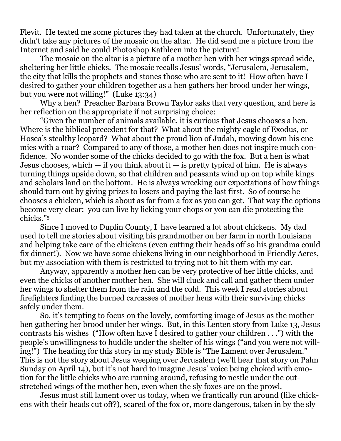Flevit. He texted me some pictures they had taken at the church. Unfortunately, they didn't take any pictures of the mosaic on the altar. He did send me a picture from the Internet and said he could Photoshop Kathleen into the picture!

The mosaic on the altar is a picture of a mother hen with her wings spread wide, sheltering her little chicks. The mosaic recalls Jesus' words, "Jerusalem, Jerusalem, the city that kills the prophets and stones those who are sent to it! How often have I desired to gather your children together as a hen gathers her brood under her wings, but you were not willing!" (Luke 13:34)

Why a hen? Preacher Barbara Brown Taylor asks that very question, and here is her reflection on the appropriate if not surprising choice:

"Given the number of animals available, it is curious that Jesus chooses a hen. Where is the biblical precedent for that? What about the mighty eagle of Exodus, or Hosea's stealthy leopard? What about the proud lion of Judah, mowing down his enemies with a roar? Compared to any of those, a mother hen does not inspire much confidence. No wonder some of the chicks decided to go with the fox. But a hen is what Jesus chooses, which  $-$  if you think about it  $-$  is pretty typical of him. He is always turning things upside down, so that children and peasants wind up on top while kings and scholars land on the bottom. He is always wrecking our expectations of how things should turn out by giving prizes to losers and paying the last first. So of course he chooses a chicken, which is about as far from a fox as you can get. That way the options become very clear: you can live by licking your chops or you can die protecting the chicks."<sup>5</sup>

Since I moved to Duplin County, I have learned a lot about chickens. My dad used to tell me stories about visiting his grandmother on her farm in north Louisiana and helping take care of the chickens (even cutting their heads off so his grandma could fix dinner!). Now we have some chickens living in our neighborhood in Friendly Acres, but my association with them is restricted to trying not to hit them with my car.

Anyway, apparently a mother hen can be very protective of her little chicks, and even the chicks of another mother hen. She will cluck and call and gather them under her wings to shelter them from the rain and the cold. This week I read stories about firefighters finding the burned carcasses of mother hens with their surviving chicks safely under them.

So, it's tempting to focus on the lovely, comforting image of Jesus as the mother hen gathering her brood under her wings. But, in this Lenten story from Luke 13, Jesus contrasts his wishes ("How often have I desired to gather your children . . .") with the people's unwillingness to huddle under the shelter of his wings ("and you were not willing!") The heading for this story in my study Bible is "The Lament over Jerusalem." This is not the story about Jesus weeping over Jerusalem (we'll hear that story on Palm Sunday on April 14), but it's not hard to imagine Jesus' voice being choked with emotion for the little chicks who are running around, refusing to nestle under the outstretched wings of the mother hen, even when the sly foxes are on the prowl.

Jesus must still lament over us today, when we frantically run around (like chickens with their heads cut off?), scared of the fox or, more dangerous, taken in by the sly